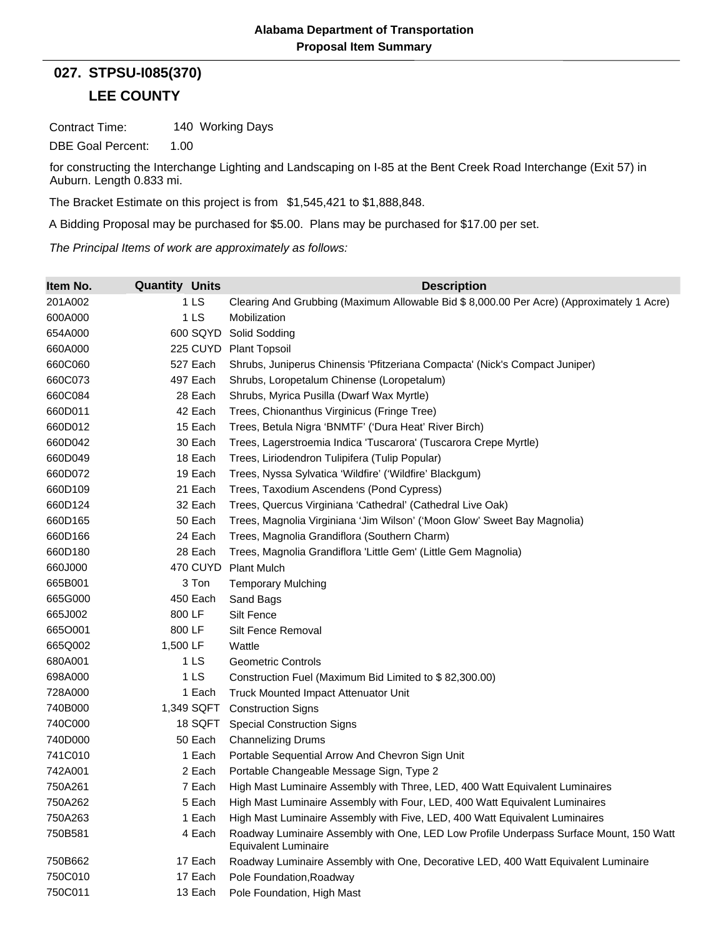## **LEE COUNTY 027. STPSU-I085(370)**

Contract Time: 140 Working Days

DBE Goal Percent: 1.00

for constructing the Interchange Lighting and Landscaping on I-85 at the Bent Creek Road Interchange (Exit 57) in Auburn. Length 0.833 mi.

The Bracket Estimate on this project is from \$1,545,421 to \$1,888,848.

A Bidding Proposal may be purchased for \$5.00. Plans may be purchased for \$17.00 per set.

*The Principal Items of work are approximately as follows:*

| Item No. | <b>Quantity Units</b> | <b>Description</b>                                                                                                    |
|----------|-----------------------|-----------------------------------------------------------------------------------------------------------------------|
| 201A002  | 1 LS                  | Clearing And Grubbing (Maximum Allowable Bid \$ 8,000.00 Per Acre) (Approximately 1 Acre)                             |
| 600A000  | 1 <sub>LS</sub>       | Mobilization                                                                                                          |
| 654A000  | 600 SQYD              | Solid Sodding                                                                                                         |
| 660A000  |                       | 225 CUYD Plant Topsoil                                                                                                |
| 660C060  | 527 Each              | Shrubs, Juniperus Chinensis 'Pfitzeriana Compacta' (Nick's Compact Juniper)                                           |
| 660C073  | 497 Each              | Shrubs, Loropetalum Chinense (Loropetalum)                                                                            |
| 660C084  | 28 Each               | Shrubs, Myrica Pusilla (Dwarf Wax Myrtle)                                                                             |
| 660D011  | 42 Each               | Trees, Chionanthus Virginicus (Fringe Tree)                                                                           |
| 660D012  | 15 Each               | Trees, Betula Nigra 'BNMTF' ('Dura Heat' River Birch)                                                                 |
| 660D042  | 30 Each               | Trees, Lagerstroemia Indica 'Tuscarora' (Tuscarora Crepe Myrtle)                                                      |
| 660D049  | 18 Each               | Trees, Liriodendron Tulipifera (Tulip Popular)                                                                        |
| 660D072  | 19 Each               | Trees, Nyssa Sylvatica 'Wildfire' ('Wildfire' Blackgum)                                                               |
| 660D109  | 21 Each               | Trees, Taxodium Ascendens (Pond Cypress)                                                                              |
| 660D124  | 32 Each               | Trees, Quercus Virginiana 'Cathedral' (Cathedral Live Oak)                                                            |
| 660D165  | 50 Each               | Trees, Magnolia Virginiana 'Jim Wilson' ('Moon Glow' Sweet Bay Magnolia)                                              |
| 660D166  | 24 Each               | Trees, Magnolia Grandiflora (Southern Charm)                                                                          |
| 660D180  | 28 Each               | Trees, Magnolia Grandiflora 'Little Gem' (Little Gem Magnolia)                                                        |
| 660J000  | 470 CUYD              | <b>Plant Mulch</b>                                                                                                    |
| 665B001  | 3 Ton                 | <b>Temporary Mulching</b>                                                                                             |
| 665G000  | 450 Each              | Sand Bags                                                                                                             |
| 665J002  | 800 LF                | Silt Fence                                                                                                            |
| 6650001  | 800 LF                | Silt Fence Removal                                                                                                    |
| 665Q002  | 1,500 LF              | Wattle                                                                                                                |
| 680A001  | 1 LS                  | Geometric Controls                                                                                                    |
| 698A000  | 1 <sub>LS</sub>       | Construction Fuel (Maximum Bid Limited to \$82,300.00)                                                                |
| 728A000  | 1 Each                | Truck Mounted Impact Attenuator Unit                                                                                  |
| 740B000  | 1,349 SQFT            | <b>Construction Signs</b>                                                                                             |
| 740C000  | 18 SQFT               | <b>Special Construction Signs</b>                                                                                     |
| 740D000  | 50 Each               | <b>Channelizing Drums</b>                                                                                             |
| 741C010  | 1 Each                | Portable Sequential Arrow And Chevron Sign Unit                                                                       |
| 742A001  | 2 Each                | Portable Changeable Message Sign, Type 2                                                                              |
| 750A261  | 7 Each                | High Mast Luminaire Assembly with Three, LED, 400 Watt Equivalent Luminaires                                          |
| 750A262  | 5 Each                | High Mast Luminaire Assembly with Four, LED, 400 Watt Equivalent Luminaires                                           |
| 750A263  | 1 Each                | High Mast Luminaire Assembly with Five, LED, 400 Watt Equivalent Luminaires                                           |
| 750B581  | 4 Each                | Roadway Luminaire Assembly with One, LED Low Profile Underpass Surface Mount, 150 Watt<br><b>Equivalent Luminaire</b> |
| 750B662  | 17 Each               | Roadway Luminaire Assembly with One, Decorative LED, 400 Watt Equivalent Luminaire                                    |
| 750C010  | 17 Each               | Pole Foundation, Roadway                                                                                              |
| 750C011  | 13 Each               | Pole Foundation, High Mast                                                                                            |